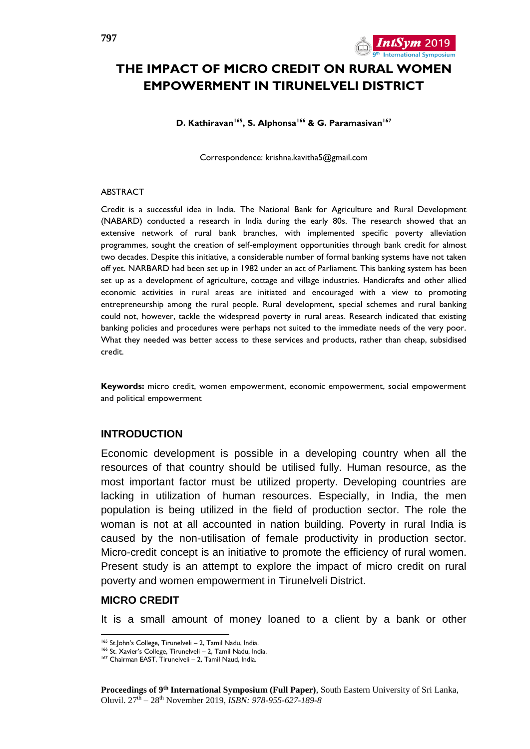

# **THE IMPACT OF MICRO CREDIT ON RURAL WOMEN EMPOWERMENT IN TIRUNELVELI DISTRICT**

**D. Kathiravan<sup>165</sup>, S. Alphonsa<sup>166</sup> & G. Paramasivan<sup>167</sup>**

Correspondence: [krishna.kavitha5@gmail.com](mailto:krishna.kavitha5@gmail.com)

#### ABSTRACT

Credit is a successful idea in India. The National Bank for Agriculture and Rural Development (NABARD) conducted a research in India during the early 80s. The research showed that an extensive network of rural bank branches, with implemented specific poverty alleviation programmes, sought the creation of self-employment opportunities through bank credit for almost two decades. Despite this initiative, a considerable number of formal banking systems have not taken off yet. NARBARD had been set up in 1982 under an act of Parliament. This banking system has been set up as a development of agriculture, cottage and village industries. Handicrafts and other allied economic activities in rural areas are initiated and encouraged with a view to promoting entrepreneurship among the rural people. Rural development, special schemes and rural banking could not, however, tackle the widespread poverty in rural areas. Research indicated that existing banking policies and procedures were perhaps not suited to the immediate needs of the very poor. What they needed was better access to these services and products, rather than cheap, subsidised credit.

**Keywords:** micro credit, women empowerment, economic empowerment, social empowerment and political empowerment

#### **INTRODUCTION**

Economic development is possible in a developing country when all the resources of that country should be utilised fully. Human resource, as the most important factor must be utilized property. Developing countries are lacking in utilization of human resources. Especially, in India, the men population is being utilized in the field of production sector. The role the woman is not at all accounted in nation building. Poverty in rural India is caused by the non-utilisation of female productivity in production sector. Micro-credit concept is an initiative to promote the efficiency of rural women. Present study is an attempt to explore the impact of micro credit on rural poverty and women empowerment in Tirunelveli District.

#### **MICRO CREDIT**

It is a small amount of money loaned to a client by a bank or other

 $\overline{a}$ <sup>165</sup> St.John's College, Tirunelveli – 2, Tamil Nadu, India.

<sup>&</sup>lt;sup>166</sup> St. Xavier's College, Tirunelveli - 2, Tamil Nadu, India.

<sup>167</sup> Chairman EAST, Tirunelveli – 2, Tamil Naud, India.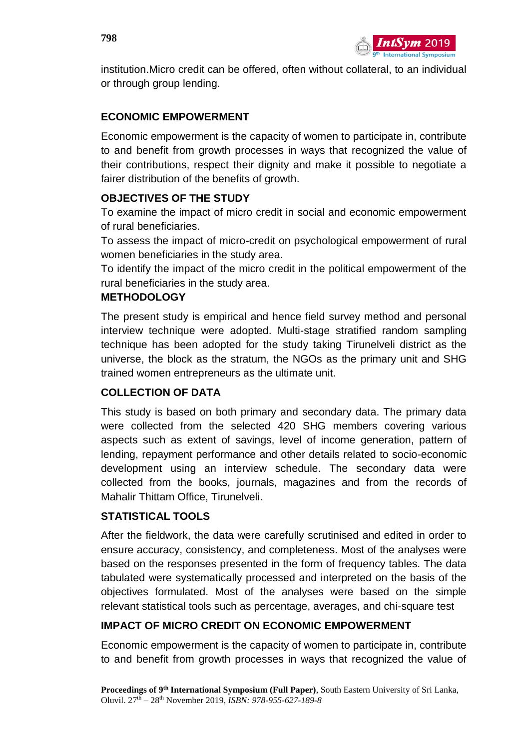

institution.Micro credit can be offered, often without collateral, to an individual or through group lending.

## **ECONOMIC EMPOWERMENT**

Economic empowerment is the capacity of women to participate in, contribute to and benefit from growth processes in ways that recognized the value of their contributions, respect their dignity and make it possible to negotiate a fairer distribution of the benefits of growth.

## **OBJECTIVES OF THE STUDY**

To examine the impact of micro credit in social and economic empowerment of rural beneficiaries.

To assess the impact of micro-credit on psychological empowerment of rural women beneficiaries in the study area.

To identify the impact of the micro credit in the political empowerment of the rural beneficiaries in the study area.

## **METHODOLOGY**

The present study is empirical and hence field survey method and personal interview technique were adopted. Multi-stage stratified random sampling technique has been adopted for the study taking Tirunelveli district as the universe, the block as the stratum, the NGOs as the primary unit and SHG trained women entrepreneurs as the ultimate unit.

## **COLLECTION OF DATA**

This study is based on both primary and secondary data. The primary data were collected from the selected 420 SHG members covering various aspects such as extent of savings, level of income generation, pattern of lending, repayment performance and other details related to socio-economic development using an interview schedule. The secondary data were collected from the books, journals, magazines and from the records of Mahalir Thittam Office, Tirunelveli.

## **STATISTICAL TOOLS**

After the fieldwork, the data were carefully scrutinised and edited in order to ensure accuracy, consistency, and completeness. Most of the analyses were based on the responses presented in the form of frequency tables. The data tabulated were systematically processed and interpreted on the basis of the objectives formulated. Most of the analyses were based on the simple relevant statistical tools such as percentage, averages, and chi-square test

## **IMPACT OF MICRO CREDIT ON ECONOMIC EMPOWERMENT**

Economic empowerment is the capacity of women to participate in, contribute to and benefit from growth processes in ways that recognized the value of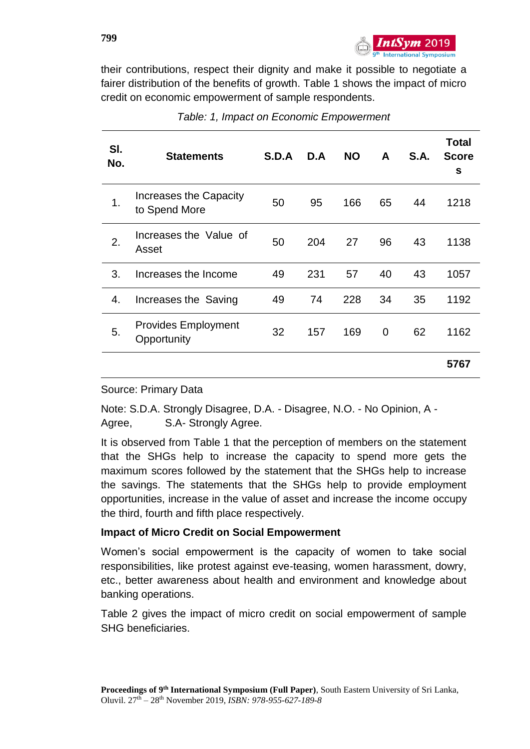

their contributions, respect their dignity and make it possible to negotiate a fairer distribution of the benefits of growth. Table 1 shows the impact of micro credit on economic empowerment of sample respondents.

| SI.<br>No. | <b>Statements</b>                              | S.D.A | D.A | <b>NO</b> | A              | <b>S.A.</b> | Total<br><b>Score</b><br>S |
|------------|------------------------------------------------|-------|-----|-----------|----------------|-------------|----------------------------|
| 1.         | <b>Increases the Capacity</b><br>to Spend More | 50    | 95  | 166       | 65             | 44          | 1218                       |
| 2.         | Increases the Value of<br>Asset                | 50    | 204 | 27        | 96             | 43          | 1138                       |
| 3.         | Increases the Income                           | 49    | 231 | 57        | 40             | 43          | 1057                       |
| 4.         | Increases the Saving                           | 49    | 74  | 228       | 34             | 35          | 1192                       |
| 5.         | <b>Provides Employment</b><br>Opportunity      | 32    | 157 | 169       | $\overline{0}$ | 62          | 1162                       |
|            |                                                |       |     |           |                |             | 5767                       |

|  | Table: 1, Impact on Economic Empowerment |
|--|------------------------------------------|
|  |                                          |

## Source: Primary Data

Note: S.D.A. Strongly Disagree, D.A. - Disagree, N.O. - No Opinion, A - Agree, S.A- Strongly Agree.

It is observed from Table 1 that the perception of members on the statement that the SHGs help to increase the capacity to spend more gets the maximum scores followed by the statement that the SHGs help to increase the savings. The statements that the SHGs help to provide employment opportunities, increase in the value of asset and increase the income occupy the third, fourth and fifth place respectively.

## **Impact of Micro Credit on Social Empowerment**

Women's social empowerment is the capacity of women to take social responsibilities, like protest against eve-teasing, women harassment, dowry, etc., better awareness about health and environment and knowledge about banking operations.

Table 2 gives the impact of micro credit on social empowerment of sample SHG beneficiaries.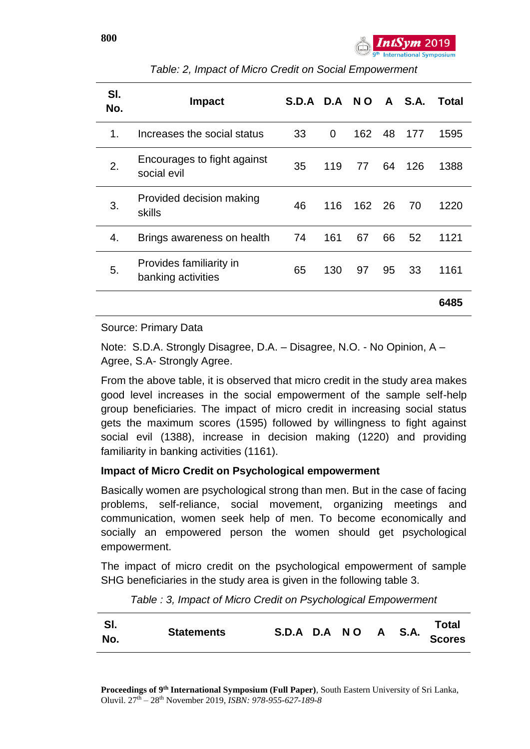

| SI.<br>No. | <b>Impact</b>                                 | S.D.A |          | D.A NO |    | A S.A. | Total |
|------------|-----------------------------------------------|-------|----------|--------|----|--------|-------|
| 1.         | Increases the social status                   | 33    | $\Omega$ | 162 48 |    | 177    | 1595  |
| 2.         | Encourages to fight against<br>social evil    | 35    | 119      | 77     | 64 | 126    | 1388  |
| 3.         | Provided decision making<br>skills            | 46    | 116      | 162 26 |    | 70     | 1220  |
| 4.         | Brings awareness on health                    | 74    | 161      | 67     | 66 | 52     | 1121  |
| 5.         | Provides familiarity in<br>banking activities | 65    | 130      | 97     | 95 | 33     | 1161  |
|            |                                               |       |          |        |    |        | 6485  |

*Table: 2, Impact of Micro Credit on Social Empowerment*

#### Source: Primary Data

Note: S.D.A. Strongly Disagree, D.A. – Disagree, N.O. - No Opinion, A – Agree, S.A- Strongly Agree.

From the above table, it is observed that micro credit in the study area makes good level increases in the social empowerment of the sample self-help group beneficiaries. The impact of micro credit in increasing social status gets the maximum scores (1595) followed by willingness to fight against social evil (1388), increase in decision making (1220) and providing familiarity in banking activities (1161).

#### **Impact of Micro Credit on Psychological empowerment**

Basically women are psychological strong than men. But in the case of facing problems, self-reliance, social movement, organizing meetings and communication, women seek help of men. To become economically and socially an empowered person the women should get psychological empowerment.

The impact of micro credit on the psychological empowerment of sample SHG beneficiaries in the study area is given in the following table 3.

| Table : 3, Impact of Micro Credit on Psychological Empowerment |
|----------------------------------------------------------------|
|                                                                |

| SI.<br><b>Statements</b><br>No. | S.D.A D.A NO A S.A. Scores |  |  | <b>Total</b> |
|---------------------------------|----------------------------|--|--|--------------|
|---------------------------------|----------------------------|--|--|--------------|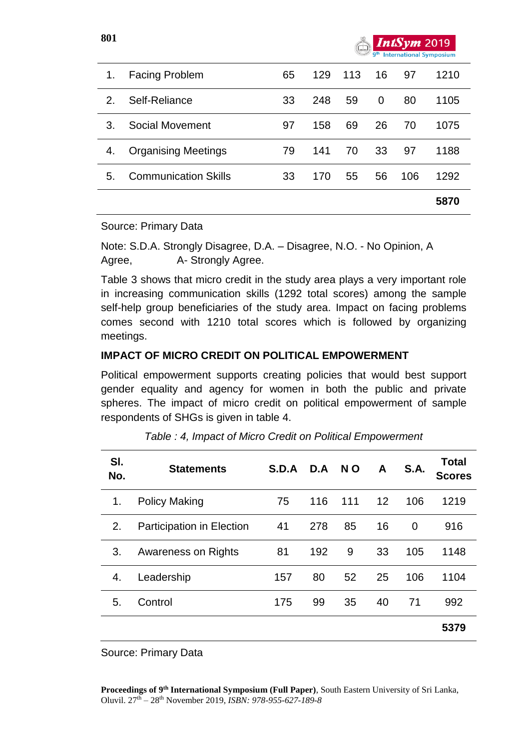

#### Source: Primary Data

Note: S.D.A. Strongly Disagree, D.A. – Disagree, N.O. - No Opinion, A Agree, **A- Strongly Agree.** 

Table 3 shows that micro credit in the study area plays a very important role in increasing communication skills (1292 total scores) among the sample self-help group beneficiaries of the study area. Impact on facing problems comes second with 1210 total scores which is followed by organizing meetings.

## **IMPACT OF MICRO CREDIT ON POLITICAL EMPOWERMENT**

Political empowerment supports creating policies that would best support gender equality and agency for women in both the public and private spheres. The impact of micro credit on political empowerment of sample respondents of SHGs is given in table 4.

| SI.<br>No. | <b>Statements</b>                | S.D.A | D.A | N <sub>O</sub> | A  | S.A.           | <b>Total</b><br><b>Scores</b> |
|------------|----------------------------------|-------|-----|----------------|----|----------------|-------------------------------|
| 1.         | <b>Policy Making</b>             | 75    | 116 | 111            | 12 | 106            | 1219                          |
| 2.         | <b>Participation in Election</b> | 41    | 278 | 85             | 16 | $\overline{0}$ | 916                           |
| 3.         | Awareness on Rights              | 81    | 192 | 9              | 33 | 105            | 1148                          |
| 4.         | Leadership                       | 157   | 80  | 52             | 25 | 106            | 1104                          |
| 5.         | Control                          | 175   | 99  | 35             | 40 | 71             | 992                           |
|            |                                  |       |     |                |    |                | 5379                          |

*Table : 4, Impact of Micro Credit on Political Empowerment*

Source: Primary Data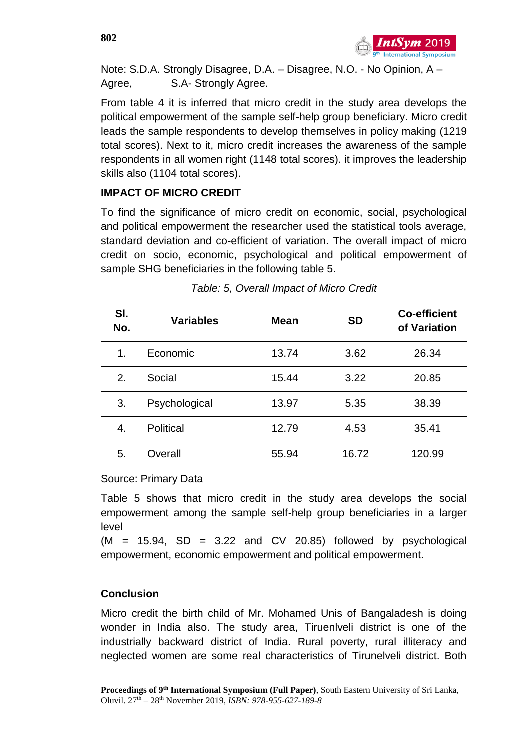

Note: S.D.A. Strongly Disagree, D.A. – Disagree, N.O. - No Opinion, A – Agree, S.A- Strongly Agree.

From table 4 it is inferred that micro credit in the study area develops the political empowerment of the sample self-help group beneficiary. Micro credit leads the sample respondents to develop themselves in policy making (1219 total scores). Next to it, micro credit increases the awareness of the sample respondents in all women right (1148 total scores). it improves the leadership skills also (1104 total scores).

## **IMPACT OF MICRO CREDIT**

To find the significance of micro credit on economic, social, psychological and political empowerment the researcher used the statistical tools average, standard deviation and co-efficient of variation. The overall impact of micro credit on socio, economic, psychological and political empowerment of sample SHG beneficiaries in the following table 5.

| SI.<br>No. | <b>Variables</b> | <b>Mean</b> | <b>SD</b> | <b>Co-efficient</b><br>of Variation |
|------------|------------------|-------------|-----------|-------------------------------------|
| 1.         | Economic         | 13.74       | 3.62      | 26.34                               |
| 2.         | Social           | 15.44       | 3.22      | 20.85                               |
| 3.         | Psychological    | 13.97       | 5.35      | 38.39                               |
| 4.         | Political        | 12.79       | 4.53      | 35.41                               |
| 5.         | Overall          | 55.94       | 16.72     | 120.99                              |

Source: Primary Data

Table 5 shows that micro credit in the study area develops the social empowerment among the sample self-help group beneficiaries in a larger level

 $(M = 15.94, SD = 3.22$  and CV 20.85) followed by psychological empowerment, economic empowerment and political empowerment.

## **Conclusion**

Micro credit the birth child of Mr. Mohamed Unis of Bangaladesh is doing wonder in India also. The study area, Tiruenlveli district is one of the industrially backward district of India. Rural poverty, rural illiteracy and neglected women are some real characteristics of Tirunelveli district. Both